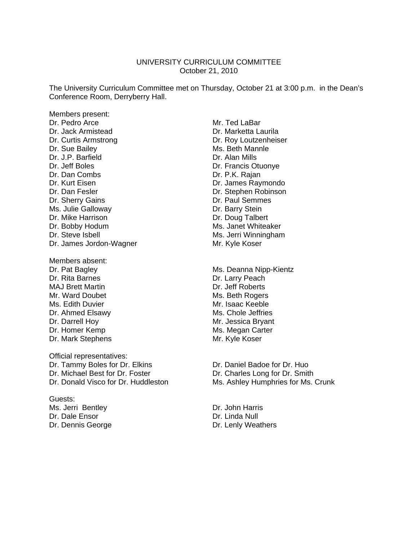#### UNIVERSITY CURRICULUM COMMITTEE October 21, 2010

The University Curriculum Committee met on Thursday, October 21 at 3:00 p.m. in the Dean's Conference Room, Derryberry Hall.

Members present: Dr. Pedro Arce Mr. Ted LaBar Dr. Jack Armistead Dr. Marketta Laurila Dr. Curtis Armstrong Dr. Roy Loutzenheiser Dr. Sue Bailey **Ms. Beth Mannle** Dr. J.P. Barfield Dr. Alan Mills Dr. Jeff Boles **Dr. Francis Otuonye** Dr. Dan Combs Dr. P.K. Rajan Dr. Kurt Eisen **Dr. James Raymondo** Dr. Dan Fesler Dr. Stephen Robinson Dr. Sherry Gains **Dr. Paul Semmes** Ms. Julie Galloway **Dr. Barry Stein** Dr. Mike Harrison **Dr. Doug Talbert** Dr. Bobby Hodum Ms. Janet Whiteaker Dr. Steve Isbell Ms. Jerri Winningham Dr. James Jordon-Wagner Mr. Kyle Koser

Members absent: Dr. Rita Barnes **Dr. Larry Peach** MAJ Brett Martin **Dr. Jeff Roberts** Mr. Ward Doubet Mr. Ward Doubet Ms. Beth Rogers Ms. Edith Duvier **Mr. Isaac Keeble** Dr. Ahmed Elsawy Ms. Chole Jeffries Dr. Darrell Hoy **Mr. Jessica Bryant** Dr. Homer Kemp Ms. Megan Carter<br>
Dr. Mark Stephens
Mr. Kyle Koser Dr. Mark Stephens

Official representatives: Dr. Tammy Boles for Dr. Elkins Dr. Daniel Badoe for Dr. Huo Dr. Michael Best for Dr. Foster **Dr. Charles Long for Dr. Smith** 

Guests: Ms. Jerri Bentley **Dr. John Harris** Dr. Dale Ensor **Dr. Linda Null** Dr. Dennis George **Dr. Lenly Weathers** 

Dr. Pat Bagley Ms. Deanna Nipp-Kientz

Dr. Donald Visco for Dr. Huddleston Ms. Ashley Humphries for Ms. Crunk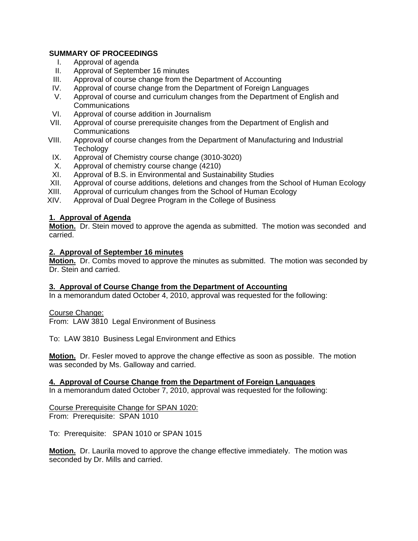# **SUMMARY OF PROCEEDINGS**

- I. Approval of agenda
- II. Approval of September 16 minutes
- III. Approval of course change from the Department of Accounting
- IV. Approval of course change from the Department of Foreign Languages
- V. Approval of course and curriculum changes from the Department of English and **Communications**
- VI. Approval of course addition in Journalism
- VII. Approval of course prerequisite changes from the Department of English and **Communications**
- VIII. Approval of course changes from the Department of Manufacturing and Industrial **Techology**
- IX. Approval of Chemistry course change (3010-3020)
- X. Approval of chemistry course change (4210)
- XI. Approval of B.S. in Environmental and Sustainability Studies
- XII. Approval of course additions, deletions and changes from the School of Human Ecology
- XIII. Approval of curriculum changes from the School of Human Ecology<br>XIV. Approval of Dual Degree Program in the College of Business
- Approval of Dual Degree Program in the College of Business

# **1. Approval of Agenda**

**Motion.** Dr. Stein moved to approve the agenda as submitted. The motion was seconded and carried.

# **2. Approval of September 16 minutes**

**Motion.** Dr. Combs moved to approve the minutes as submitted. The motion was seconded by Dr. Stein and carried.

# **3. Approval of Course Change from the Department of Accounting**

In a memorandum dated October 4, 2010, approval was requested for the following:

# Course Change:

From: LAW 3810 Legal Environment of Business

To: LAW 3810 Business Legal Environment and Ethics

**Motion.** Dr. Fesler moved to approve the change effective as soon as possible. The motion was seconded by Ms. Galloway and carried.

# **4. Approval of Course Change from the Department of Foreign Languages**

In a memorandum dated October 7, 2010, approval was requested for the following:

# Course Prerequisite Change for SPAN 1020:

From: Prerequisite: SPAN 1010

To: Prerequisite: SPAN 1010 or SPAN 1015

**Motion.** Dr. Laurila moved to approve the change effective immediately. The motion was seconded by Dr. Mills and carried.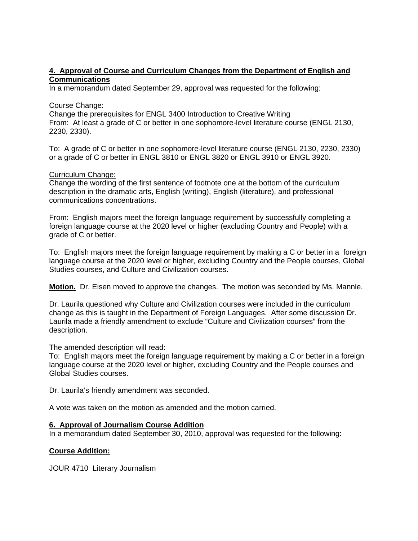### **4. Approval of Course and Curriculum Changes from the Department of English and Communications**

In a memorandum dated September 29, approval was requested for the following:

#### Course Change:

Change the prerequisites for ENGL 3400 Introduction to Creative Writing From: At least a grade of C or better in one sophomore-level literature course (ENGL 2130, 2230, 2330).

To: A grade of C or better in one sophomore-level literature course (ENGL 2130, 2230, 2330) or a grade of C or better in ENGL 3810 or ENGL 3820 or ENGL 3910 or ENGL 3920.

### Curriculum Change:

Change the wording of the first sentence of footnote one at the bottom of the curriculum description in the dramatic arts, English (writing), English (literature), and professional communications concentrations.

From: English majors meet the foreign language requirement by successfully completing a foreign language course at the 2020 level or higher (excluding Country and People) with a grade of C or better.

To: English majors meet the foreign language requirement by making a C or better in a foreign language course at the 2020 level or higher, excluding Country and the People courses, Global Studies courses, and Culture and Civilization courses.

**Motion.** Dr. Eisen moved to approve the changes. The motion was seconded by Ms. Mannle.

Dr. Laurila questioned why Culture and Civilization courses were included in the curriculum change as this is taught in the Department of Foreign Languages. After some discussion Dr. Laurila made a friendly amendment to exclude "Culture and Civilization courses" from the description.

The amended description will read:

To: English majors meet the foreign language requirement by making a C or better in a foreign language course at the 2020 level or higher, excluding Country and the People courses and Global Studies courses.

Dr. Laurila's friendly amendment was seconded.

A vote was taken on the motion as amended and the motion carried.

# **6. Approval of Journalism Course Addition**

In a memorandum dated September 30, 2010, approval was requested for the following:

# **Course Addition:**

JOUR 4710 Literary Journalism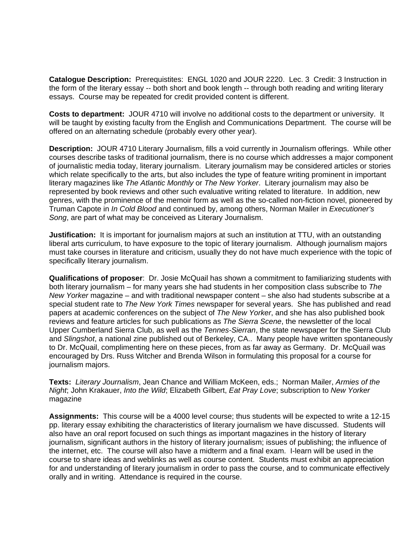**Catalogue Description:** Prerequistites: ENGL 1020 and JOUR 2220. Lec. 3 Credit: 3 Instruction in the form of the literary essay -- both short and book length -- through both reading and writing literary essays. Course may be repeated for credit provided content is different.

**Costs to department:** JOUR 4710 will involve no additional costs to the department or university. It will be taught by existing faculty from the English and Communications Department. The course will be offered on an alternating schedule (probably every other year).

**Description:** JOUR 4710 Literary Journalism, fills a void currently in Journalism offerings. While other courses describe tasks of traditional journalism, there is no course which addresses a major component of journalistic media today, literary journalism. Literary journalism may be considered articles or stories which relate specifically to the arts, but also includes the type of feature writing prominent in important literary magazines like *The Atlantic Monthly* or *The New Yorker*. Literary journalism may also be represented by book reviews and other such evaluative writing related to literature. In addition, new genres, with the prominence of the memoir form as well as the so-called non-fiction novel, pioneered by Truman Capote in *In Cold Blood* and continued by, among others, Norman Mailer in *Executioner's Song*, are part of what may be conceived as Literary Journalism.

**Justification:** It is important for journalism majors at such an institution at TTU, with an outstanding liberal arts curriculum, to have exposure to the topic of literary journalism. Although journalism majors must take courses in literature and criticism, usually they do not have much experience with the topic of specifically literary journalism.

**Qualifications of proposer**: Dr. Josie McQuail has shown a commitment to familiarizing students with both literary journalism – for many years she had students in her composition class subscribe to *The New Yorker* magazine – and with traditional newspaper content – she also had students subscribe at a special student rate to *The New York Times* newspaper for several years. She has published and read papers at academic conferences on the subject of *The New Yorker*, and she has also published book reviews and feature articles for such publications as *The Sierra Scene*, the newsletter of the local Upper Cumberland Sierra Club, as well as the *Tennes-Sierran*, the state newspaper for the Sierra Club and *Slingshot*, a national zine published out of Berkeley, CA.. Many people have written spontaneously to Dr. McQuail, complimenting here on these pieces, from as far away as Germany. Dr. McQuail was encouraged by Drs. Russ Witcher and Brenda Wilson in formulating this proposal for a course for journalism majors.

**Texts:** *Literary Journalism*, Jean Chance and William McKeen, eds.; Norman Mailer, *Armies of the Night*; John Krakauer, *Into the Wild*; Elizabeth Gilbert, *Eat Pray Love*; subscription to *New Yorker* magazine

**Assignments:** This course will be a 4000 level course; thus students will be expected to write a 12-15 pp. literary essay exhibiting the characteristics of literary journalism we have discussed. Students will also have an oral report focused on such things as important magazines in the history of literary journalism, significant authors in the history of literary journalism; issues of publishing; the influence of the internet, etc. The course will also have a midterm and a final exam. I-learn will be used in the course to share ideas and weblinks as well as course content. Students must exhibit an appreciation for and understanding of literary journalism in order to pass the course, and to communicate effectively orally and in writing. Attendance is required in the course.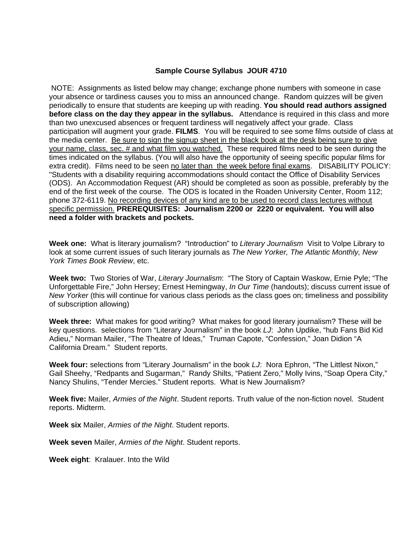#### **Sample Course Syllabus JOUR 4710**

 NOTE: Assignments as listed below may change; exchange phone numbers with someone in case your absence or tardiness causes you to miss an announced change. Random quizzes will be given periodically to ensure that students are keeping up with reading. **You should read authors assigned before class on the day they appear in the syllabus.** Attendance is required in this class and more than two unexcused absences or frequent tardiness will negatively affect your grade. Class participation will augment your grade. **FILMS**. You will be required to see some films outside of class at the media center. Be sure to sign the signup sheet in the black book at the desk being sure to give your name, class, sec. # and what film you watched. These required films need to be seen during the times indicated on the syllabus. (You will also have the opportunity of seeing specific popular films for extra credit). Films need to be seen no later than the week before final exams. DISABILITY POLICY: "Students with a disability requiring accommodations should contact the Office of Disability Services (ODS). An Accommodation Request (AR) should be completed as soon as possible, preferably by the end of the first week of the course. The ODS is located in the Roaden University Center, Room 112; phone 372-6119. No recording devices of any kind are to be used to record class lectures without specific permission. **PREREQUISITES: Journalism 2200 or 2220 or equivalent. You will also need a folder with brackets and pockets.**

**Week one:** What is literary journalism? "Introduction" to *Literary Journalism* Visit to Volpe Library to look at some current issues of such literary journals as *The New Yorker, The Atlantic Monthly, New York Times Book Review*, etc.

**Week two:** Two Stories of War, *Literary Journalism*: "The Story of Captain Waskow, Ernie Pyle; "The Unforgettable Fire," John Hersey; Ernest Hemingway, *In Our Time* (handouts); discuss current issue of *New Yorker* (this will continue for various class periods as the class goes on; timeliness and possibility of subscription allowing)

**Week three:** What makes for good writing? What makes for good literary journalism? These will be key questions. selections from "Literary Journalism" in the book *LJ*: John Updike, "hub Fans Bid Kid Adieu," Norman Mailer, "The Theatre of Ideas," Truman Capote, "Confession," Joan Didion "A California Dream." Student reports.

**Week four:** selections from "Literary Journalism" in the book *LJ*: Nora Ephron, "The Littlest Nixon," Gail Sheehy, "Redpants and Sugarman," Randy Shilts, "Patient Zero," Molly Ivins, "Soap Opera City," Nancy Shulins, "Tender Mercies." Student reports. What is New Journalism?

**Week five:** Mailer, *Armies of the Night*. Student reports. Truth value of the non-fiction novel. Student reports. Midterm.

**Week six** Mailer, *Armies of the Night*. Student reports.

**Week seven** Mailer, *Armies of the Night*. Student reports.

**Week eight**: Kralauer. Into the Wild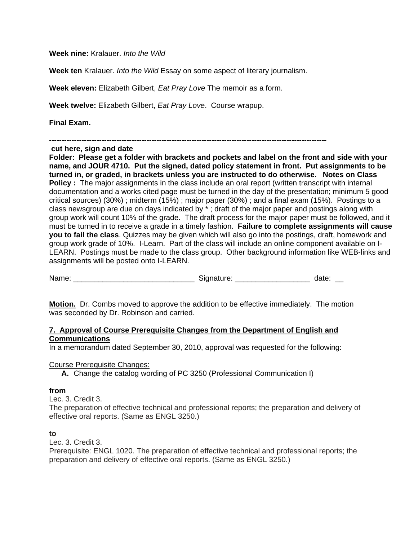**Week nine:** Kralauer. *Into the Wild*

**Week ten** Kralauer. *Into the Wild* Essay on some aspect of literary journalism.

**Week eleven:** Elizabeth Gilbert, *Eat Pray Love* The memoir as a form.

**Week twelve:** Elizabeth Gilbert, *Eat Pray Love*. Course wrapup.

**Final Exam.** 

**---------------------------------------------------------------------------------------------------------------** 

 **cut here, sign and date** 

**Folder: Please get a folder with brackets and pockets and label on the front and side with your name, and JOUR 4710. Put the signed, dated policy statement in front. Put assignments to be turned in, or graded, in brackets unless you are instructed to do otherwise. Notes on Class Policy** : The major assignments in the class include an oral report (written transcript with internal documentation and a works cited page must be turned in the day of the presentation; minimum 5 good critical sources) (30%) ; midterm (15%) ; major paper (30%) ; and a final exam (15%). Postings to a class newsgroup are due on days indicated by \* ; draft of the major paper and postings along with group work will count 10% of the grade. The draft process for the major paper must be followed, and it must be turned in to receive a grade in a timely fashion. **Failure to complete assignments will cause you to fail the class**. Quizzes may be given which will also go into the postings, draft, homework and group work grade of 10%. I-Learn. Part of the class will include an online component available on I-LEARN. Postings must be made to the class group. Other background information like WEB-links and assignments will be posted onto I-LEARN.

Name: \_\_\_\_\_\_\_\_\_\_\_\_\_\_\_\_\_\_\_\_\_\_\_\_\_\_\_\_\_ Signature: \_\_\_\_\_\_\_\_\_\_\_\_\_\_\_\_\_\_ date: \_\_

**Motion.** Dr. Combs moved to approve the addition to be effective immediately. The motion was seconded by Dr. Robinson and carried.

### **7. Approval of Course Prerequisite Changes from the Department of English and Communications**

In a memorandum dated September 30, 2010, approval was requested for the following:

#### Course Prerequisite Changes:

**A.** Change the catalog wording of PC 3250 (Professional Communication I)

#### **from**

Lec. 3. Credit 3.

The preparation of effective technical and professional reports; the preparation and delivery of effective oral reports. (Same as ENGL 3250.)

#### **to**

Lec. 3. Credit 3.

Prerequisite: ENGL 1020. The preparation of effective technical and professional reports; the preparation and delivery of effective oral reports. (Same as ENGL 3250.)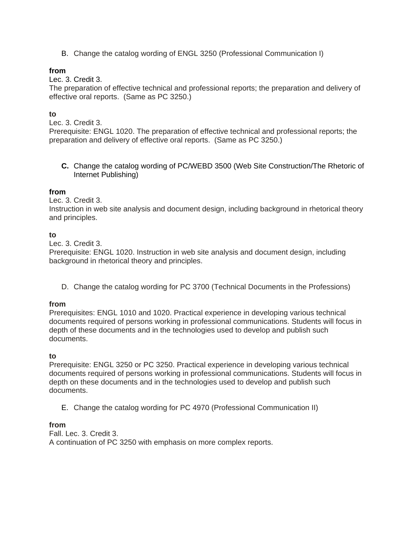B. Change the catalog wording of ENGL 3250 (Professional Communication I)

# **from**

Lec. 3. Credit 3.

The preparation of effective technical and professional reports; the preparation and delivery of effective oral reports. (Same as PC 3250.)

# **to**

Lec. 3. Credit 3.

Prerequisite: ENGL 1020. The preparation of effective technical and professional reports; the preparation and delivery of effective oral reports. (Same as PC 3250.)

**C.** Change the catalog wording of PC/WEBD 3500 (Web Site Construction/The Rhetoric of Internet Publishing)

# **from**

Lec. 3. Credit 3.

Instruction in web site analysis and document design, including background in rhetorical theory and principles.

# **to**

Lec. 3. Credit 3.

Prerequisite: ENGL 1020. Instruction in web site analysis and document design, including background in rhetorical theory and principles.

D. Change the catalog wording for PC 3700 (Technical Documents in the Professions)

# **from**

Prerequisites: ENGL 1010 and 1020. Practical experience in developing various technical documents required of persons working in professional communications. Students will focus in depth of these documents and in the technologies used to develop and publish such documents.

# **to**

Prerequisite: ENGL 3250 or PC 3250. Practical experience in developing various technical documents required of persons working in professional communications. Students will focus in depth on these documents and in the technologies used to develop and publish such documents.

E. Change the catalog wording for PC 4970 (Professional Communication II)

# **from**

Fall. Lec. 3. Credit 3. A continuation of PC 3250 with emphasis on more complex reports.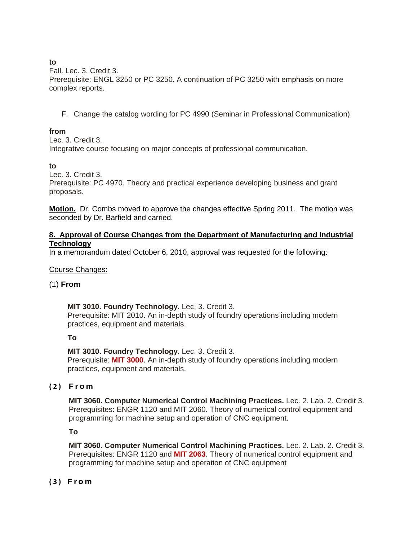# **to**

Fall. Lec. 3. Credit 3. Prerequisite: ENGL 3250 or PC 3250. A continuation of PC 3250 with emphasis on more complex reports.

F. Change the catalog wording for PC 4990 (Seminar in Professional Communication)

# **from**

Lec. 3. Credit 3.

Integrative course focusing on major concepts of professional communication.

# **to**

Lec. 3. Credit 3.

Prerequisite: PC 4970. Theory and practical experience developing business and grant proposals.

**Motion.** Dr. Combs moved to approve the changes effective Spring 2011. The motion was seconded by Dr. Barfield and carried.

# **8. Approval of Course Changes from the Department of Manufacturing and Industrial Technology**

In a memorandum dated October 6, 2010, approval was requested for the following:

# Course Changes:

# (1) **From**

# **MIT 3010. Foundry Technology.** Lec. 3. Credit 3.

Prerequisite: MIT 2010. An in-depth study of foundry operations including modern practices, equipment and materials.

# **To**

**MIT 3010. Foundry Technology.** Lec. 3. Credit 3. Prerequisite: **MIT 3000**. An in-depth study of foundry operations including modern practices, equipment and materials.

# **(2) From**

**MIT 3060. Computer Numerical Control Machining Practices.** Lec. 2. Lab. 2. Credit 3. Prerequisites: ENGR 1120 and MIT 2060. Theory of numerical control equipment and programming for machine setup and operation of CNC equipment.

**To** 

**MIT 3060. Computer Numerical Control Machining Practices.** Lec. 2. Lab. 2. Credit 3. Prerequisites: ENGR 1120 and **MIT 2063**. Theory of numerical control equipment and programming for machine setup and operation of CNC equipment

# **(3) From**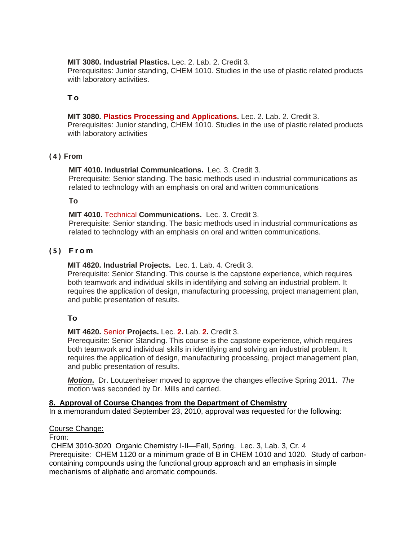**MIT 3080. Industrial Plastics.** Lec. 2. Lab. 2. Credit 3.

Prerequisites: Junior standing, CHEM 1010. Studies in the use of plastic related products with laboratory activities.

# **To**

# **MIT 3080. Plastics Processing and Applications.** Lec. 2. Lab. 2. Credit 3.

Prerequisites: Junior standing, CHEM 1010. Studies in the use of plastic related products with laboratory activities

# **(4) From**

# **MIT 4010. Industrial Communications.** Lec. 3. Credit 3.

Prerequisite: Senior standing. The basic methods used in industrial communications as related to technology with an emphasis on oral and written communications

# **To**

# **MIT 4010.** Technical **Communications.** Lec. 3. Credit 3.

Prerequisite: Senior standing. The basic methods used in industrial communications as related to technology with an emphasis on oral and written communications.

# **(5) From**

# **MIT 4620. Industrial Projects.** Lec. 1. Lab. 4. Credit 3.

Prerequisite: Senior Standing. This course is the capstone experience, which requires both teamwork and individual skills in identifying and solving an industrial problem. It requires the application of design, manufacturing processing, project management plan, and public presentation of results.

# **To**

# **MIT 4620.** Senior **Projects.** Lec. **2.** Lab. **2.** Credit 3.

Prerequisite: Senior Standing. This course is the capstone experience, which requires both teamwork and individual skills in identifying and solving an industrial problem. It requires the application of design, manufacturing processing, project management plan, and public presentation of results.

*Motion***.** Dr. Loutzenheiser moved to approve the changes effective Spring 2011. *The* motion was seconded by Dr. Mills and carried.

# **8. Approval of Course Changes from the Department of Chemistry**

In a memorandum dated September 23, 2010, approval was requested for the following:

# Course Change:

From:

 CHEM 3010-3020 Organic Chemistry I-II—Fall, Spring. Lec. 3, Lab. 3, Cr. 4 Prerequisite: CHEM 1120 or a minimum grade of B in CHEM 1010 and 1020. Study of carboncontaining compounds using the functional group approach and an emphasis in simple mechanisms of aliphatic and aromatic compounds.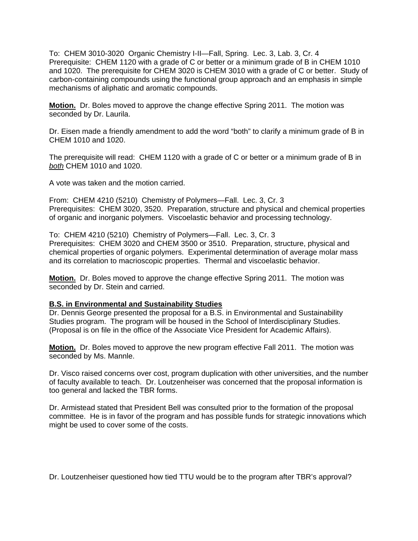To: CHEM 3010-3020 Organic Chemistry I-II—Fall, Spring. Lec. 3, Lab. 3, Cr. 4 Prerequisite: CHEM 1120 with a grade of C or better or a minimum grade of B in CHEM 1010 and 1020. The prerequisite for CHEM 3020 is CHEM 3010 with a grade of C or better. Study of carbon-containing compounds using the functional group approach and an emphasis in simple mechanisms of aliphatic and aromatic compounds.

**Motion.** Dr. Boles moved to approve the change effective Spring 2011. The motion was seconded by Dr. Laurila.

Dr. Eisen made a friendly amendment to add the word "both" to clarify a minimum grade of B in CHEM 1010 and 1020.

The prerequisite will read: CHEM 1120 with a grade of C or better or a minimum grade of B in *both* CHEM 1010 and 1020.

A vote was taken and the motion carried.

From: CHEM 4210 (5210) Chemistry of Polymers—Fall. Lec. 3, Cr. 3 Prerequisites: CHEM 3020, 3520. Preparation, structure and physical and chemical properties of organic and inorganic polymers. Viscoelastic behavior and processing technology.

To: CHEM 4210 (5210) Chemistry of Polymers—Fall. Lec. 3, Cr. 3 Prerequisites: CHEM 3020 and CHEM 3500 or 3510. Preparation, structure, physical and chemical properties of organic polymers. Experimental determination of average molar mass and its correlation to macrioscopic properties. Thermal and viscoelastic behavior.

**Motion.** Dr. Boles moved to approve the change effective Spring 2011. The motion was seconded by Dr. Stein and carried.

#### **B.S. in Environmental and Sustainability Studies**

Dr. Dennis George presented the proposal for a B.S. in Environmental and Sustainability Studies program. The program will be housed in the School of Interdisciplinary Studies. (Proposal is on file in the office of the Associate Vice President for Academic Affairs).

**Motion.** Dr. Boles moved to approve the new program effective Fall 2011. The motion was seconded by Ms. Mannle.

Dr. Visco raised concerns over cost, program duplication with other universities, and the number of faculty available to teach. Dr. Loutzenheiser was concerned that the proposal information is too general and lacked the TBR forms.

Dr. Armistead stated that President Bell was consulted prior to the formation of the proposal committee. He is in favor of the program and has possible funds for strategic innovations which might be used to cover some of the costs.

Dr. Loutzenheiser questioned how tied TTU would be to the program after TBR's approval?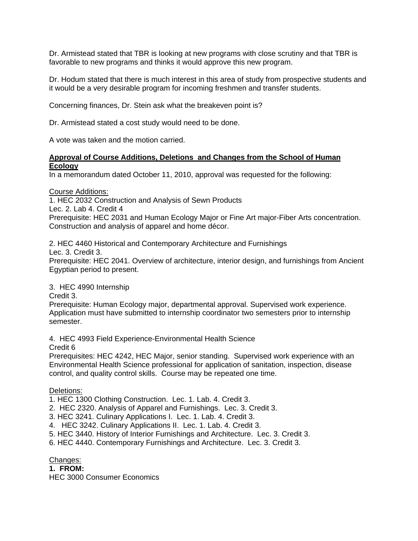Dr. Armistead stated that TBR is looking at new programs with close scrutiny and that TBR is favorable to new programs and thinks it would approve this new program.

Dr. Hodum stated that there is much interest in this area of study from prospective students and it would be a very desirable program for incoming freshmen and transfer students.

Concerning finances, Dr. Stein ask what the breakeven point is?

Dr. Armistead stated a cost study would need to be done.

A vote was taken and the motion carried.

# **Approval of Course Additions, Deletions and Changes from the School of Human Ecology**

In a memorandum dated October 11, 2010, approval was requested for the following:

Course Additions:

1. HEC 2032 Construction and Analysis of Sewn Products

Lec. 2. Lab 4. Credit 4

Prerequisite: HEC 2031 and Human Ecology Major or Fine Art major-Fiber Arts concentration. Construction and analysis of apparel and home décor.

2. HEC 4460 Historical and Contemporary Architecture and Furnishings

Lec. 3. Credit 3.

Prerequisite: HEC 2041. Overview of architecture, interior design, and furnishings from Ancient Egyptian period to present.

#### 3. HEC 4990 Internship

Credit 3.

Prerequisite: Human Ecology major, departmental approval. Supervised work experience. Application must have submitted to internship coordinator two semesters prior to internship semester.

4. HEC 4993 Field Experience-Environmental Health Science Credit 6

Prerequisites: HEC 4242, HEC Major, senior standing. Supervised work experience with an Environmental Health Science professional for application of sanitation, inspection, disease control, and quality control skills. Course may be repeated one time.

#### Deletions:

1. HEC 1300 Clothing Construction. Lec. 1. Lab. 4. Credit 3.

2. HEC 2320. Analysis of Apparel and Furnishings. Lec. 3. Credit 3.

3. HEC 3241. Culinary Applications I. Lec. 1. Lab. 4. Credit 3.

4. HEC 3242. Culinary Applications II. Lec. 1. Lab. 4. Credit 3.

5. HEC 3440. History of Interior Furnishings and Architecture. Lec. 3. Credit 3.

6. HEC 4440. Contemporary Furnishings and Architecture. Lec. 3. Credit 3.

Changes:

### **1. FROM:**

HEC 3000 Consumer Economics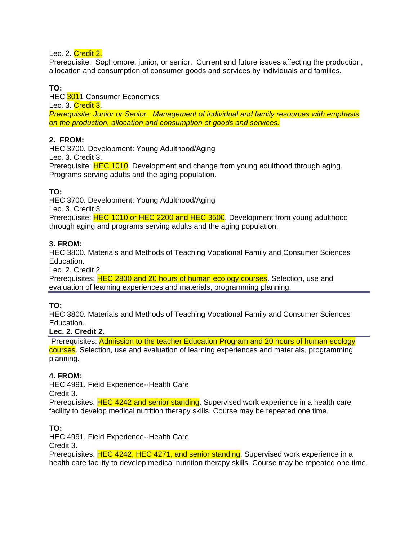# Lec. 2. Credit 2.

Prerequisite: Sophomore, junior, or senior. Current and future issues affecting the production, allocation and consumption of consumer goods and services by individuals and families.

# **TO:**

HEC 3011 Consumer Economics Lec. 3. Credit 3. *Prerequisite: Junior or Senior. Management of individual and family resources with emphasis on the production, allocation and consumption of goods and services.* 

# **2. FROM:**

HEC 3700. Development: Young Adulthood/Aging Lec. 3. Credit 3.

Prerequisite: **HEC 1010**. Development and change from young adulthood through aging. Programs serving adults and the aging population.

# **TO:**

HEC 3700. Development: Young Adulthood/Aging

Lec. 3. Credit 3.

Prerequisite: HEC 1010 or HEC 2200 and HEC 3500. Development from young adulthood through aging and programs serving adults and the aging population.

# **3. FROM:**

HEC 3800. Materials and Methods of Teaching Vocational Family and Consumer Sciences Education.

Lec. 2. Credit 2.

Prerequisites: **HEC 2800 and 20 hours of human ecology courses**. Selection, use and evaluation of learning experiences and materials, programming planning.

# **TO:**

HEC 3800. Materials and Methods of Teaching Vocational Family and Consumer Sciences Education.

# **Lec. 2. Credit 2.**

 Prerequisites: Admission to the teacher Education Program and 20 hours of human ecology courses. Selection, use and evaluation of learning experiences and materials, programming planning.

# **4. FROM:**

HEC 4991. Field Experience--Health Care. Credit 3.

Prerequisites: HEC 4242 and senior standing. Supervised work experience in a health care facility to develop medical nutrition therapy skills. Course may be repeated one time.

# **TO:**

HEC 4991. Field Experience--Health Care.

Credit 3.

Prerequisites: HEC 4242, HEC 4271, and senior standing. Supervised work experience in a health care facility to develop medical nutrition therapy skills. Course may be repeated one time.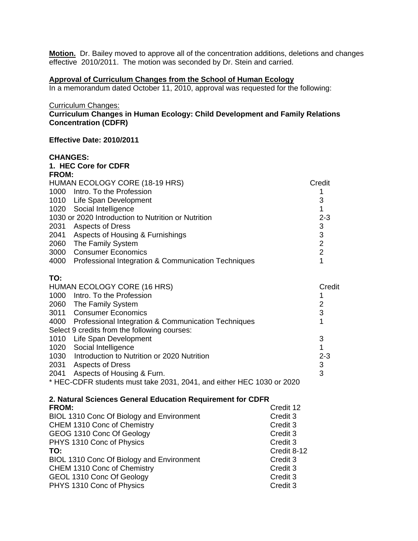**Motion.** Dr. Bailey moved to approve all of the concentration additions, deletions and changes effective 2010/2011. The motion was seconded by Dr. Stein and carried.

# **Approval of Curriculum Changes from the School of Human Ecology**

In a memorandum dated October 11, 2010, approval was requested for the following:

Curriculum Changes:

### **Curriculum Changes in Human Ecology: Child Development and Family Relations Concentration (CDFR)**

#### **Effective Date: 2010/2011**

#### **CHANGES:**

| 1. HEC Core for CDFR                                                       |                |  |
|----------------------------------------------------------------------------|----------------|--|
| FROM:                                                                      | Credit         |  |
| HUMAN ECOLOGY CORE (18-19 HRS)                                             |                |  |
| 1000 Intro. To the Profession                                              | 1              |  |
| 1010 Life Span Development                                                 | 3              |  |
| 1020 Social Intelligence                                                   | 1              |  |
| 1030 or 2020 Introduction to Nutrition or Nutrition                        | $2 - 3$        |  |
| 2031<br><b>Aspects of Dress</b><br>2041 Aspects of Housing & Furnishings   | 3<br>3         |  |
| 2060 The Family System                                                     | $\overline{2}$ |  |
| <b>Consumer Economics</b><br>3000                                          | $\overline{2}$ |  |
| 4000<br>Professional Integration & Communication Techniques                | 1              |  |
|                                                                            |                |  |
| TO:                                                                        |                |  |
| HUMAN ECOLOGY CORE (16 HRS)                                                | Credit         |  |
| 1000 Intro. To the Profession                                              | 1              |  |
| 2060 The Family System                                                     | $\overline{2}$ |  |
| 3011 Consumer Economics                                                    | 3              |  |
| 4000 Professional Integration & Communication Techniques                   | 1              |  |
| Select 9 credits from the following courses:                               |                |  |
| 1010 Life Span Development                                                 | 3              |  |
| 1020 Social Intelligence                                                   | 1              |  |
| 1030 Introduction to Nutrition or 2020 Nutrition                           | $2 - 3$        |  |
| 2031 Aspects of Dress                                                      | 3              |  |
| 2041 Aspects of Housing & Furn.                                            | 3              |  |
| * HEC-CDFR students must take 2031, 2041, and either HEC 1030 or 2020      |                |  |
|                                                                            |                |  |
| 2. Natural Sciences General Education Requirement for CDFR<br><b>FROM:</b> | Credit 12      |  |
| BIOL 1310 Conc Of Biology and Environment<br>Credit 3                      |                |  |
| CHEM 1310 Conc of Chemistry<br>Credit 3                                    |                |  |
| GEOG 1310 Conc Of Geology<br>Credit 3                                      |                |  |
| Credit 3<br>PHYS 1310 Conc of Physics                                      |                |  |
| TO:                                                                        | Credit 8-12    |  |
| BIOL 1310 Conc Of Biology and Environment<br>Credit 3                      |                |  |
| CHEM 1310 Conc of Chemistry<br>Credit 3                                    |                |  |
| GEOL 1310 Conc Of Geology<br>Credit 3                                      |                |  |
| PHYS 1310 Conc of Physics<br>Credit 3                                      |                |  |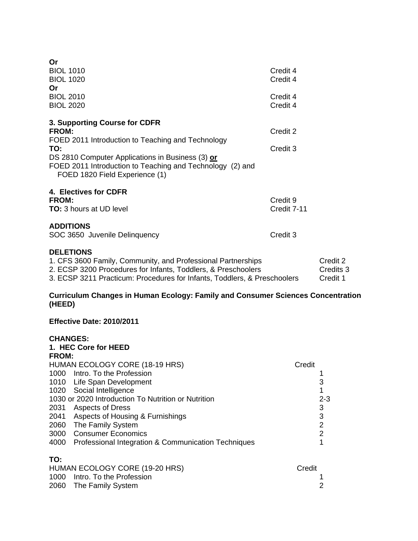#### **Curriculum Changes in Human Ecology: Family and Consumer Sciences Concentration (HEED)**

#### **Effective Date: 2010/2011**

# **CHANGES: 1. HEC Core for HEED FROM:**  HUMAN ECOLOGY CORE (18-19 HRS) Credit 1000 Intro. To the Profession **1** and 1 1010 Life Span Development 3 1020 Social Intelligence 1020 11 1030 or 2020 Introduction To Nutrition or Nutrition 2-3 2031 Aspects of Dress 3 2041 Aspects of Housing & Furnishings<br>
2060 The Family System<br>
2 2060 The Family System 3000 Consumer Economics 2 4000 Professional Integration & Communication Techniques 1 **TO:**  HUMAN ECOLOGY CORE (19-20 HRS) Credit

| HUMAN ECOLOGY CORE (19-20 HRS) | Credit |
|--------------------------------|--------|
| 1000 Intro. To the Profession  |        |
| 2060 The Family System         |        |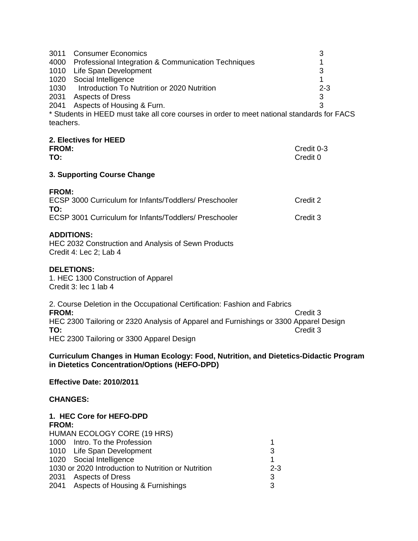|      | 3011 Consumer Economics                                                                    |         |
|------|--------------------------------------------------------------------------------------------|---------|
|      | 4000 Professional Integration & Communication Techniques                                   |         |
|      | 1010 Life Span Development                                                                 |         |
|      | 1020 Social Intelligence                                                                   |         |
| 1030 | Introduction To Nutrition or 2020 Nutrition                                                | $2 - 3$ |
| 2031 | <b>Aspects of Dress</b>                                                                    |         |
|      | 2041 Aspects of Housing & Furn.                                                            |         |
|      | * Ctudente in HEED must take all eare courses in erder to meet potional standards for EACC |         |

Students in HEED must take all core courses in order to meet national standards for FACS teachers.

# **2. Electives for HEED**

| ____________________ |            |
|----------------------|------------|
| <b>FROM:</b>         | Credit 0-3 |
| TO:                  | Credit 0   |

# **3. Supporting Course Change**

| ECSP 3000 Curriculum for Infants/Toddlers/ Preschooler | Credit 2 |
|--------------------------------------------------------|----------|
| TO:                                                    |          |
| ECSP 3001 Curriculum for Infants/Toddlers/ Preschooler | Credit 3 |

# **ADDITIONS:**

HEC 2032 Construction and Analysis of Sewn Products Credit 4: Lec 2; Lab 4

# **DELETIONS:**

1. HEC 1300 Construction of Apparel Credit 3: lec 1 lab 4

2. Course Deletion in the Occupational Certification: Fashion and Fabrics **FROM:** Credit 3 HEC 2300 Tailoring or 2320 Analysis of Apparel and Furnishings or 3300 Apparel Design **TO:** Credit 3 HEC 2300 Tailoring or 3300 Apparel Design

**Curriculum Changes in Human Ecology: Food, Nutrition, and Dietetics-Didactic Program in Dietetics Concentration/Options (HEFO-DPD)** 

# **Effective Date: 2010/2011**

# **CHANGES:**

#### **1. HEC Core for HEFO-DPD FROM:**

| . |                                                     |         |
|---|-----------------------------------------------------|---------|
|   | <b>HUMAN ECOLOGY CORE (19 HRS)</b>                  |         |
|   | 1000 Intro. To the Profession                       |         |
|   | 1010 Life Span Development                          | 3       |
|   | 1020 Social Intelligence                            |         |
|   | 1030 or 2020 Introduction to Nutrition or Nutrition | $2 - 3$ |
|   | 2031 Aspects of Dress                               | 3       |
|   | 2041 Aspects of Housing & Furnishings               |         |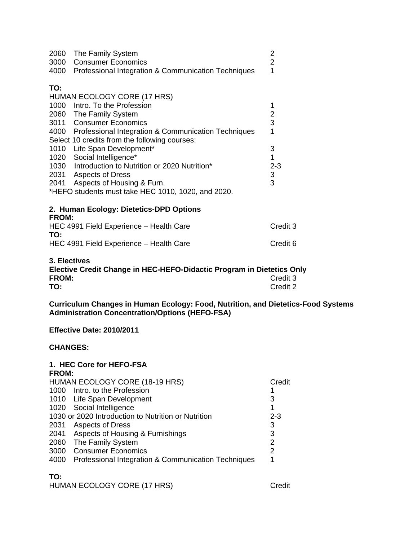|              | 2060 The Family System                                                                                    | $\overline{2}$            |
|--------------|-----------------------------------------------------------------------------------------------------------|---------------------------|
|              | 3000 Consumer Economics                                                                                   | $\overline{2}$            |
|              | 4000 Professional Integration & Communication Techniques                                                  | 1                         |
| TO:          |                                                                                                           |                           |
|              | HUMAN ECOLOGY CORE (17 HRS)                                                                               |                           |
|              | 1000 Intro. To the Profession                                                                             | 1                         |
|              | 2060 The Family System                                                                                    | $\overline{\mathbf{c}}$   |
|              | 3011 Consumer Economics                                                                                   | $\overline{3}$            |
|              | 4000 Professional Integration & Communication Techniques<br>Select 10 credits from the following courses: | 1                         |
|              | 1010 Life Span Development*                                                                               | 3                         |
|              | 1020 Social Intelligence*                                                                                 | $\overline{1}$            |
|              | 1030 Introduction to Nutrition or 2020 Nutrition*                                                         | $2 - 3$                   |
|              | 2031 Aspects of Dress                                                                                     | $\ensuremath{\mathsf{3}}$ |
|              | 2041 Aspects of Housing & Furn.                                                                           | 3                         |
|              | *HEFO students must take HEC 1010, 1020, and 2020.                                                        |                           |
| <b>FROM:</b> | 2. Human Ecology: Dietetics-DPD Options                                                                   |                           |
| TO:          | HEC 4991 Field Experience - Health Care                                                                   | Credit 3                  |
|              | HEC 4991 Field Experience - Health Care                                                                   | Credit 6                  |
| 3. Electives | Elective Credit Change in HEC-HEFO-Didactic Program in Dietetics Or                                       |                           |

**Elective Credit Change in HEC-HEFO-Didactic Program in Dietetics Only FROM:** Credit 3<br> **TO:** Credit 2 **TO:** Credit 2

**Curriculum Changes in Human Ecology: Food, Nutrition, and Dietetics-Food Systems Administration Concentration/Options (HEFO-FSA)** 

**Effective Date: 2010/2011** 

# **CHANGES:**

#### **1. HEC Core for HEFO-FSA FROM:**

|      | HUMAN ECOLOGY CORE (18-19 HRS)                      | Credit  |
|------|-----------------------------------------------------|---------|
|      | 1000 Intro. to the Profession                       |         |
|      | 1010 Life Span Development                          | 3       |
|      | 1020 Social Intelligence                            |         |
|      | 1030 or 2020 Introduction to Nutrition or Nutrition | $2 - 3$ |
|      | 2031 Aspects of Dress                               | 3       |
|      | 2041 Aspects of Housing & Furnishings               | 3       |
| 2060 | The Family System                                   | 2       |
| 3000 | <b>Consumer Economics</b>                           | 2       |
| 4000 | Professional Integration & Communication Techniques | 1       |
|      |                                                     |         |

# **TO:**

HUMAN ECOLOGY CORE (17 HRS) Credit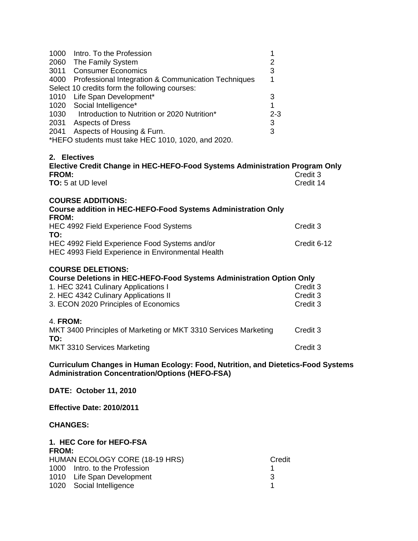|      | 1000 Intro. To the Profession                            |         |
|------|----------------------------------------------------------|---------|
|      | 2060 The Family System                                   | 2       |
|      | 3011 Consumer Economics                                  | 3       |
|      | 4000 Professional Integration & Communication Techniques |         |
|      | Select 10 credits form the following courses:            |         |
| 1010 | Life Span Development*                                   | 3       |
|      | 1020 Social Intelligence*                                |         |
| 1030 | Introduction to Nutrition or 2020 Nutrition*             | $2 - 3$ |
|      | 2031 Aspects of Dress                                    | 3       |
| 2041 | Aspects of Housing & Furn.                               | 3       |
|      | *HEFO students must take HEC 1010, 1020, and 2020.       |         |
|      |                                                          |         |
|      | <b>Electives</b>                                         |         |

#### **2. Electives**

| Elective Credit Change in HEC-HEFO-Food Systems Administration Program Only<br>FROM: | Credit 3    |
|--------------------------------------------------------------------------------------|-------------|
| <b>TO:</b> 5 at UD level                                                             | Credit 14   |
| <b>COURSE ADDITIONS:</b>                                                             |             |
| <b>Course addition in HEC-HEFO-Food Systems Administration Only</b><br><b>FROM:</b>  |             |
| HEC 4992 Field Experience Food Systems<br>TO:                                        | Credit 3    |
| HEC 4992 Field Experience Food Systems and/or                                        | Credit 6-12 |
| HEC 4993 Field Experience in Environmental Health                                    |             |
| <b>COURSE DELETIONS:</b>                                                             |             |
| Course Deletions in HEC-HEFO-Food Systems Administration Option Only                 |             |
| 1. HEC 3241 Culinary Applications I                                                  | Credit 3    |
| 2. HEC 4342 Culinary Applications II                                                 | Credit 3    |
| 3. ECON 2020 Principles of Economics                                                 | Credit 3    |
| 4. <b>FROM:</b>                                                                      |             |
| MKT 3400 Principles of Marketing or MKT 3310 Services Marketing<br>TO:               | Credit 3    |

MKT 3310 Services Marketing Credit 3

**Curriculum Changes in Human Ecology: Food, Nutrition, and Dietetics-Food Systems Administration Concentration/Options (HEFO-FSA)** 

**DATE: October 11, 2010** 

**Effective Date: 2010/2011** 

# **CHANGES:**

#### **1. HEC Core for HEFO-FSA FROM:**

| Credit                                                                                                                         |
|--------------------------------------------------------------------------------------------------------------------------------|
|                                                                                                                                |
| -3                                                                                                                             |
|                                                                                                                                |
| .<br>HUMAN ECOLOGY CORE (18-19 HRS)<br>1000 Intro. to the Profession<br>1010 Life Span Development<br>1020 Social Intelligence |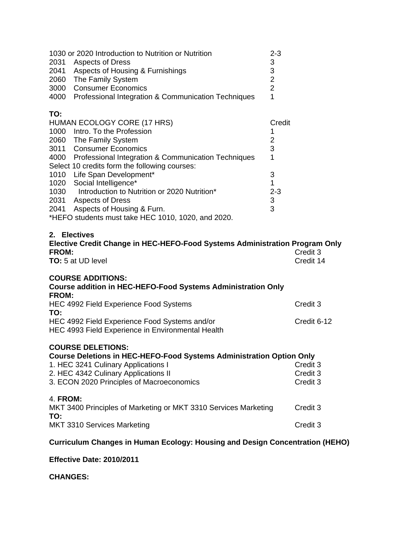| 1030 or 2020 Introduction to Nutrition or Nutrition<br>2031 Aspects of Dress<br>2041 Aspects of Housing & Furnishings<br>2060 The Family System<br>3000<br><b>Consumer Economics</b><br>4000<br>Professional Integration & Communication Techniques                                                                                                                                                                                                                      | $2 - 3$<br>3<br>$\frac{3}{2}$<br>$\overline{2}$<br>1                                           |                                  |
|--------------------------------------------------------------------------------------------------------------------------------------------------------------------------------------------------------------------------------------------------------------------------------------------------------------------------------------------------------------------------------------------------------------------------------------------------------------------------|------------------------------------------------------------------------------------------------|----------------------------------|
| TO:<br>HUMAN ECOLOGY CORE (17 HRS)<br>1000 Intro. To the Profession<br>2060 The Family System<br>3011 Consumer Economics<br>4000 Professional Integration & Communication Techniques<br>Select 10 credits form the following courses:<br>1010 Life Span Development*<br>1020 Social Intelligence*<br>1030 Introduction to Nutrition or 2020 Nutrition*<br>2031 Aspects of Dress<br>2041 Aspects of Housing & Furn.<br>*HEFO students must take HEC 1010, 1020, and 2020. | Credit<br>1<br>$\overline{2}$<br>3<br>1<br>3<br>1<br>$2 - 3$<br>$\ensuremath{\mathsf{3}}$<br>3 |                                  |
| 2. Electives<br>Elective Credit Change in HEC-HEFO-Food Systems Administration Program Only<br><b>FROM:</b><br>TO: 5 at UD level                                                                                                                                                                                                                                                                                                                                         |                                                                                                | Credit 3<br>Credit 14            |
| <b>COURSE ADDITIONS:</b><br><b>Course addition in HEC-HEFO-Food Systems Administration Only</b><br><b>FROM:</b>                                                                                                                                                                                                                                                                                                                                                          |                                                                                                |                                  |
| HEC 4992 Field Experience Food Systems<br>TO:                                                                                                                                                                                                                                                                                                                                                                                                                            |                                                                                                | Credit 3                         |
| HEC 4992 Field Experience Food Systems and/or<br>HEC 4993 Field Experience in Environmental Health                                                                                                                                                                                                                                                                                                                                                                       |                                                                                                | Credit 6-12                      |
| <b>COURSE DELETIONS:</b><br><b>Course Deletions in HEC-HEFO-Food Systems Administration Option Only</b><br>1. HEC 3241 Culinary Applications I<br>2. HEC 4342 Culinary Applications II<br>3. ECON 2020 Principles of Macroeconomics                                                                                                                                                                                                                                      |                                                                                                | Credit 3<br>Credit 3<br>Credit 3 |
| 4. FROM:<br>MKT 3400 Principles of Marketing or MKT 3310 Services Marketing                                                                                                                                                                                                                                                                                                                                                                                              |                                                                                                | Credit 3                         |
| TO:<br>MKT 3310 Services Marketing                                                                                                                                                                                                                                                                                                                                                                                                                                       |                                                                                                | Credit 3                         |
|                                                                                                                                                                                                                                                                                                                                                                                                                                                                          |                                                                                                |                                  |

# **Curriculum Changes in Human Ecology: Housing and Design Concentration (HEHO)**

**Effective Date: 2010/2011** 

**CHANGES:**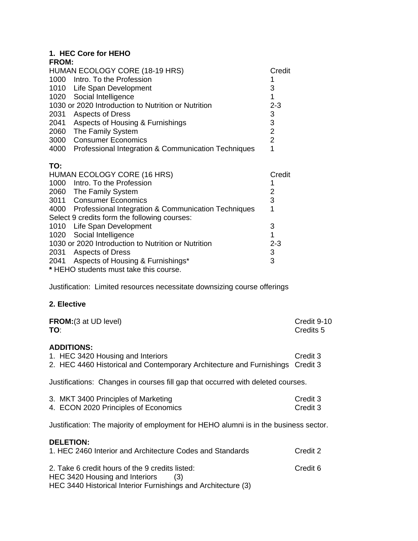# **1. HEC Core for HEHO**

| <b>FROM:</b> |                                                          |                |
|--------------|----------------------------------------------------------|----------------|
|              | HUMAN ECOLOGY CORE (18-19 HRS)                           | Credit         |
|              | 1000 Intro. To the Profession                            |                |
|              | 1010 Life Span Development                               | 3              |
|              | 1020 Social Intelligence                                 | 1              |
|              | 1030 or 2020 Introduction to Nutrition or Nutrition      | $2 - 3$        |
|              | 2031 Aspects of Dress                                    | 3              |
| 2041         | Aspects of Housing & Furnishings                         | $\mathfrak{B}$ |
|              | 2060 The Family System                                   | $\overline{2}$ |
|              | 3000 Consumer Economics                                  | $\overline{2}$ |
| 4000         | Professional Integration & Communication Techniques      | 1              |
| TO:          |                                                          |                |
|              | HUMAN ECOLOGY CORE (16 HRS)                              | Credit         |
|              | 1000 Intro. To the Profession                            |                |
|              | 2060 The Family System                                   | $\overline{2}$ |
|              | 3011 Consumer Economics                                  | 3              |
|              | 4000 Professional Integration & Communication Techniques | 1              |
|              | Select 9 credits form the following courses:             |                |
|              | 1010 Life Span Development                               | 3              |
| 1020         | Social Intelligence                                      | 1              |
|              | 1030 or 2020 Introduction to Nutrition or Nutrition      | $2 - 3$        |
|              | 2031 Aspects of Dress                                    | 3              |
|              |                                                          |                |
|              | 2041 Aspects of Housing & Furnishings*                   | 3              |

Justification: Limited resources necessitate downsizing course offerings

# **2. Elective**

| <b>FROM:</b> (3 at UD level)<br>TO:                                                                                                                       | Credit 9-10<br>Credits <sub>5</sub> |  |
|-----------------------------------------------------------------------------------------------------------------------------------------------------------|-------------------------------------|--|
| <b>ADDITIONS:</b><br>1. HEC 3420 Housing and Interiors<br>2. HEC 4460 Historical and Contemporary Architecture and Furnishings Credit 3                   | Credit 3                            |  |
| Justifications: Changes in courses fill gap that occurred with deleted courses.                                                                           |                                     |  |
| 3. MKT 3400 Principles of Marketing<br>4. ECON 2020 Principles of Economics                                                                               | Credit 3<br>Credit 3                |  |
| Justification: The majority of employment for HEHO alumni is in the business sector.                                                                      |                                     |  |
| <b>DELETION:</b><br>1. HEC 2460 Interior and Architecture Codes and Standards                                                                             | Credit 2                            |  |
| 2. Take 6 credit hours of the 9 credits listed:<br>HEC 3420 Housing and Interiors<br>(3)<br>HEC 3440 Historical Interior Furnishings and Architecture (3) | Credit 6                            |  |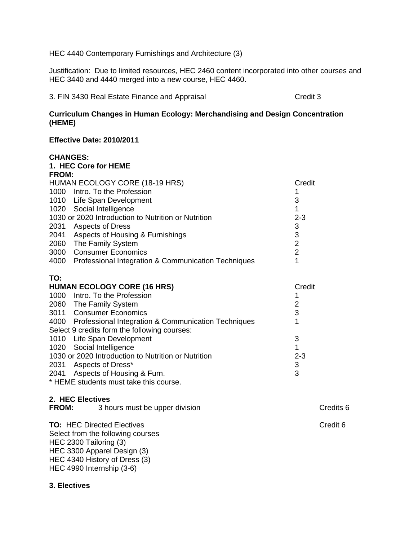HEC 4440 Contemporary Furnishings and Architecture (3)

Justification: Due to limited resources, HEC 2460 content incorporated into other courses and HEC 3440 and 4440 merged into a new course, HEC 4460.

3. FIN 3430 Real Estate Finance and Appraisal Credit 3

# **Curriculum Changes in Human Ecology: Merchandising and Design Concentration (HEME)**

### **Effective Date: 2010/2011**

#### **CHANGES:**

|              | 1. HEC Core for HEME                                                      |                           |
|--------------|---------------------------------------------------------------------------|---------------------------|
| <b>FROM:</b> |                                                                           |                           |
|              | HUMAN ECOLOGY CORE (18-19 HRS)                                            | Credit                    |
|              | 1000 Intro. To the Profession                                             |                           |
|              | 1010 Life Span Development                                                | 3                         |
|              | 1020 Social Intelligence                                                  | 1                         |
|              | 1030 or 2020 Introduction to Nutrition or Nutrition                       | $2 - 3$                   |
|              | 2031 Aspects of Dress                                                     | $\mathbf{3}$              |
|              | 2041 Aspects of Housing & Furnishings                                     | $\frac{3}{2}$             |
|              | 2060 The Family System                                                    |                           |
|              | 3000 Consumer Economics                                                   | $\overline{2}$            |
|              | 4000 Professional Integration & Communication Techniques                  | 1                         |
|              |                                                                           |                           |
| TO:          |                                                                           |                           |
|              | <b>HUMAN ECOLOGY CORE (16 HRS)</b>                                        | Credit                    |
|              |                                                                           |                           |
|              | 1000 Intro. To the Profession                                             | 1                         |
|              | 2060 The Family System                                                    | $\overline{2}$            |
|              | 3011 Consumer Economics                                                   | 3                         |
|              | 4000 Professional Integration & Communication Techniques                  | 1                         |
|              | Select 9 credits form the following courses:                              |                           |
|              | 1010 Life Span Development                                                | 3                         |
|              | 1020 Social Intelligence                                                  | 1                         |
|              | 1030 or 2020 Introduction to Nutrition or Nutrition                       | $2 - 3$                   |
|              | 2031 Aspects of Dress*                                                    | $\ensuremath{\mathsf{3}}$ |
|              | 2041 Aspects of Housing & Furn.<br>* HEME students must take this course. | 3                         |

### **2. HEC Electives**

| <b>FROM:</b> | 3 hours must be upper division                                         | Credits 6 |
|--------------|------------------------------------------------------------------------|-----------|
|              | <b>TO: HEC Directed Electives</b><br>Select from the following courses | Credit 6  |
|              | HEC 2300 Tailoring (3)                                                 |           |

HEC 2300 Tailoring (3) HEC 3300 Apparel Design (3) HEC 4340 History of Dress (3) HEC 4990 Internship (3-6)

# **3. Electives**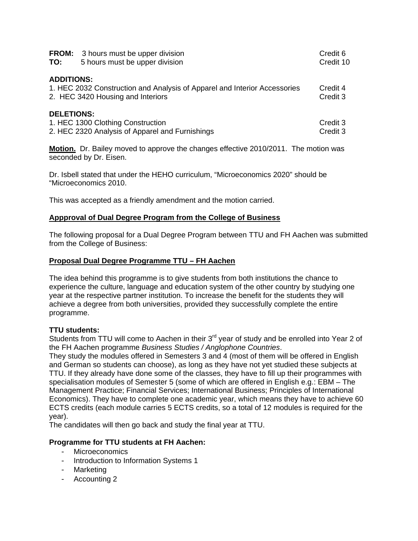| <b>FROM:</b><br>TO: | 3 hours must be upper division<br>5 hours must be upper division                                               | Credit 6<br>Credit 10 |
|---------------------|----------------------------------------------------------------------------------------------------------------|-----------------------|
| <b>ADDITIONS:</b>   | 1. HEC 2032 Construction and Analysis of Apparel and Interior Accessories<br>2. HEC 3420 Housing and Interiors | Credit 4<br>Credit 3  |
| <b>DELETIONS:</b>   | 1. HEC 1300 Clothing Construction<br>2. HEC 2320 Analysis of Apparel and Furnishings                           | Credit 3<br>Credit 3  |

**Motion.** Dr. Bailey moved to approve the changes effective 2010/2011. The motion was seconded by Dr. Eisen.

Dr. Isbell stated that under the HEHO curriculum, "Microeconomics 2020" should be "Microeconomics 2010.

This was accepted as a friendly amendment and the motion carried.

### **Appproval of Dual Degree Program from the College of Business**

The following proposal for a Dual Degree Program between TTU and FH Aachen was submitted from the College of Business:

# **Proposal Dual Degree Programme TTU – FH Aachen**

The idea behind this programme is to give students from both institutions the chance to experience the culture, language and education system of the other country by studying one year at the respective partner institution. To increase the benefit for the students they will achieve a degree from both universities, provided they successfully complete the entire programme.

#### **TTU students:**

Students from TTU will come to Aachen in their 3<sup>rd</sup> year of study and be enrolled into Year 2 of the FH Aachen programme *Business Studies / Anglophone Countries*.

They study the modules offered in Semesters 3 and 4 (most of them will be offered in English and German so students can choose), as long as they have not yet studied these subjects at TTU. If they already have done some of the classes, they have to fill up their programmes with specialisation modules of Semester 5 (some of which are offered in English e.g.: EBM – The Management Practice; Financial Services; International Business; Principles of International Economics). They have to complete one academic year, which means they have to achieve 60 ECTS credits (each module carries 5 ECTS credits, so a total of 12 modules is required for the year).

The candidates will then go back and study the final year at TTU.

# **Programme for TTU students at FH Aachen:**

- Microeconomics
- Introduction to Information Systems 1
- Marketing
- Accounting 2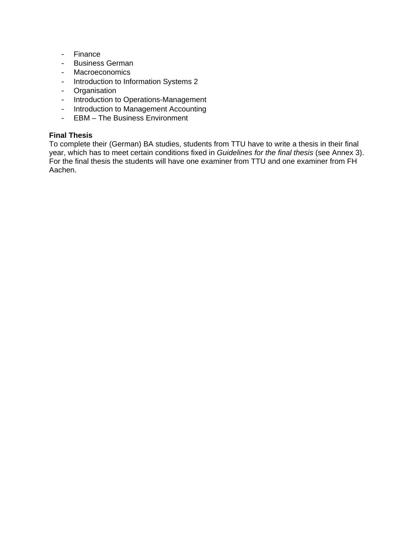- Finance
- Business German
- Macroeconomics
- Introduction to Information Systems 2
- Organisation
- Introduction to Operations-Management
- Introduction to Management Accounting
- EBM The Business Environment

### **Final Thesis**

To complete their (German) BA studies, students from TTU have to write a thesis in their final year, which has to meet certain conditions fixed in *Guidelines for the final thesis* (see Annex 3). For the final thesis the students will have one examiner from TTU and one examiner from FH Aachen.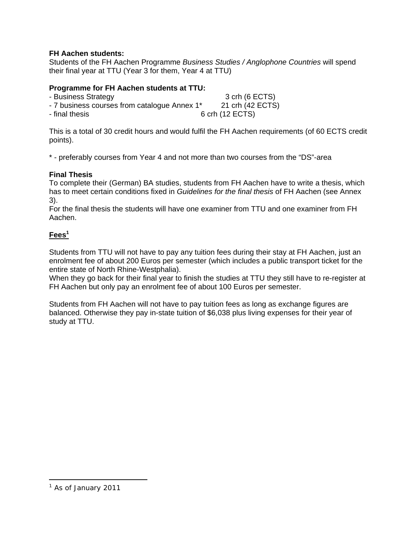# **FH Aachen students:**

Students of the FH Aachen Programme *Business Studies / Anglophone Countries* will spend their final year at TTU (Year 3 for them, Year 4 at TTU)

### **Programme for FH Aachen students at TTU:**

| - Business Strategy                          | 3 crh (6 ECTS)   |
|----------------------------------------------|------------------|
| - 7 business courses from catalogue Annex 1* | 21 crh (42 ECTS) |
| - final thesis                               | 6 crh (12 ECTS)  |

This is a total of 30 credit hours and would fulfil the FH Aachen requirements (of 60 ECTS credit points).

\* - preferably courses from Year 4 and not more than two courses from the "DS"-area

# **Final Thesis**

To complete their (German) BA studies, students from FH Aachen have to write a thesis, which has to meet certain conditions fixed in *Guidelines for the final thesis* of FH Aachen (see Annex 3).

For the final thesis the students will have one examiner from TTU and one examiner from FH Aachen.

# **Fees<sup>1</sup>**

Students from TTU will not have to pay any tuition fees during their stay at FH Aachen, just an enrolment fee of about 200 Euros per semester (which includes a public transport ticket for the entire state of North Rhine-Westphalia).

When they go back for their final year to finish the studies at TTU they still have to re-register at FH Aachen but only pay an enrolment fee of about 100 Euros per semester.

Students from FH Aachen will not have to pay tuition fees as long as exchange figures are balanced. Otherwise they pay in-state tuition of \$6,038 plus living expenses for their year of study at TTU.

 $\overline{a}$ 

<sup>&</sup>lt;sup>1</sup> As of January 2011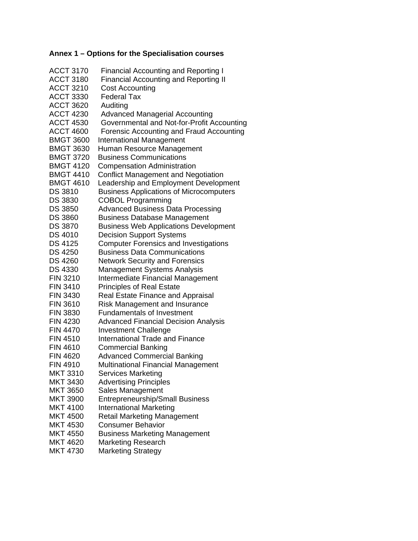# **Annex 1 – Options for the Specialisation courses**

| <b>ACCT 3170</b>                | <b>Financial Accounting and Reporting I</b>    |
|---------------------------------|------------------------------------------------|
| <b>ACCT 3180</b>                | <b>Financial Accounting and Reporting II</b>   |
| <b>ACCT 3210</b>                | <b>Cost Accounting</b>                         |
| <b>ACCT 3330</b>                | <b>Federal Tax</b>                             |
| <b>ACCT 3620</b>                | Auditing                                       |
| <b>ACCT 4230</b>                | <b>Advanced Managerial Accounting</b>          |
| <b>ACCT 4530</b>                | Governmental and Not-for-Profit Accounting     |
| <b>ACCT 4600</b>                | Forensic Accounting and Fraud Accounting       |
| <b>BMGT 3600</b>                | <b>International Management</b>                |
| <b>BMGT 3630</b>                | Human Resource Management                      |
| <b>BMGT 3720</b>                | <b>Business Communications</b>                 |
| <b>BMGT 4120</b>                | <b>Compensation Administration</b>             |
| <b>BMGT 4410</b>                | <b>Conflict Management and Negotiation</b>     |
| <b>BMGT 4610</b>                | Leadership and Employment Development          |
| <b>DS 3810</b>                  | <b>Business Applications of Microcomputers</b> |
| <b>DS 3830</b>                  | <b>COBOL Programming</b>                       |
| <b>DS 3850</b>                  | <b>Advanced Business Data Processing</b>       |
| <b>DS 3860</b>                  | <b>Business Database Management</b>            |
| <b>DS 3870</b>                  | <b>Business Web Applications Development</b>   |
| <b>DS 4010</b>                  | <b>Decision Support Systems</b>                |
| <b>DS 4125</b>                  | <b>Computer Forensics and Investigations</b>   |
| <b>DS 4250</b>                  | <b>Business Data Communications</b>            |
| <b>DS 4260</b>                  | <b>Network Security and Forensics</b>          |
| <b>DS 4330</b>                  | <b>Management Systems Analysis</b>             |
| <b>FIN 3210</b>                 | Intermediate Financial Management              |
| <b>FIN 3410</b>                 | <b>Principles of Real Estate</b>               |
| <b>FIN 3430</b>                 | <b>Real Estate Finance and Appraisal</b>       |
| <b>FIN 3610</b>                 | <b>Risk Management and Insurance</b>           |
| <b>FIN 3830</b>                 | <b>Fundamentals of Investment</b>              |
| <b>FIN 4230</b>                 | <b>Advanced Financial Decision Analysis</b>    |
| <b>FIN 4470</b>                 | <b>Investment Challenge</b>                    |
| <b>FIN 4510</b>                 | <b>International Trade and Finance</b>         |
| <b>FIN 4610</b>                 | <b>Commercial Banking</b>                      |
| FIN 4620                        | <b>Advanced Commercial Banking</b>             |
| <b>FIN 4910</b>                 | <b>Multinational Financial Management</b>      |
| <b>MKT 3310</b>                 | Services Marketing                             |
| MKT 3430                        | <b>Advertising Principles</b>                  |
| <b>MKT 3650</b>                 | Sales Management                               |
| <b>MKT 3900</b>                 | <b>Entrepreneurship/Small Business</b>         |
| <b>MKT 4100</b>                 | <b>International Marketing</b>                 |
| <b>MKT 4500</b>                 | <b>Retail Marketing Management</b>             |
| <b>MKT 4530</b>                 | <b>Consumer Behavior</b>                       |
| <b>MKT 4550</b>                 | <b>Business Marketing Management</b>           |
| <b>MKT 4620</b><br>$MKT$ $A730$ | Marketing Research<br>Markoting Stratogy       |
|                                 |                                                |

MKT 4730 Marketing Strategy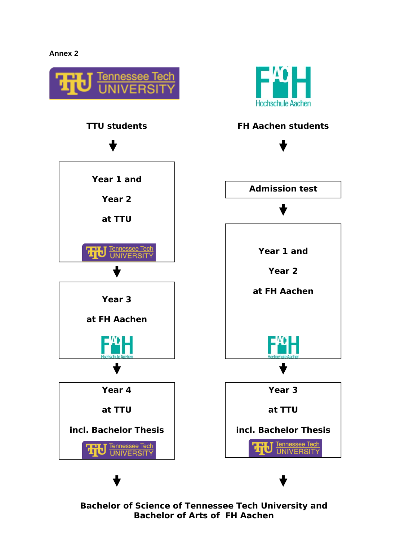# **Annex 2**



**Bachelor of Science of Tennessee Tech University and Bachelor of Arts of FH Aachen**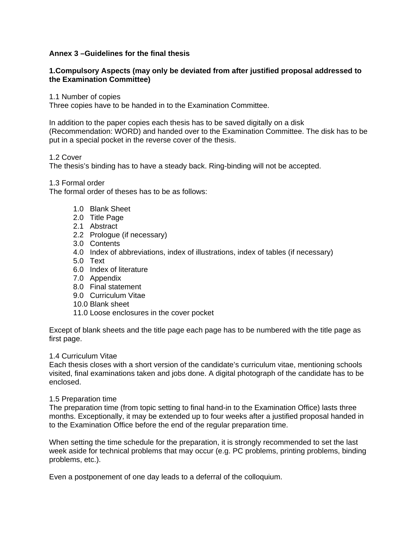### **Annex 3 –Guidelines for the final thesis**

### **1.Compulsory Aspects (may only be deviated from after justified proposal addressed to the Examination Committee)**

1.1 Number of copies

Three copies have to be handed in to the Examination Committee.

In addition to the paper copies each thesis has to be saved digitally on a disk (Recommendation: WORD) and handed over to the Examination Committee. The disk has to be put in a special pocket in the reverse cover of the thesis.

### 1.2 Cover

The thesis's binding has to have a steady back. Ring-binding will not be accepted.

1.3 Formal order

The formal order of theses has to be as follows:

- 1.0 Blank Sheet
- 2.0 Title Page
- 2.1 Abstract
- 2.2 Prologue (if necessary)
- 3.0 Contents
- 4.0 Index of abbreviations, index of illustrations, index of tables (if necessary)
- 5.0 Text
- 6.0 Index of literature
- 7.0 Appendix
- 8.0 Final statement
- 9.0 Curriculum Vitae
- 10.0 Blank sheet
- 11.0 Loose enclosures in the cover pocket

Except of blank sheets and the title page each page has to be numbered with the title page as first page.

#### 1.4 Curriculum Vitae

Each thesis closes with a short version of the candidate's curriculum vitae, mentioning schools visited, final examinations taken and jobs done. A digital photograph of the candidate has to be enclosed.

#### 1.5 Preparation time

The preparation time (from topic setting to final hand-in to the Examination Office) lasts three months. Exceptionally, it may be extended up to four weeks after a justified proposal handed in to the Examination Office before the end of the regular preparation time.

When setting the time schedule for the preparation, it is strongly recommended to set the last week aside for technical problems that may occur (e.g. PC problems, printing problems, binding problems, etc.).

Even a postponement of one day leads to a deferral of the colloquium.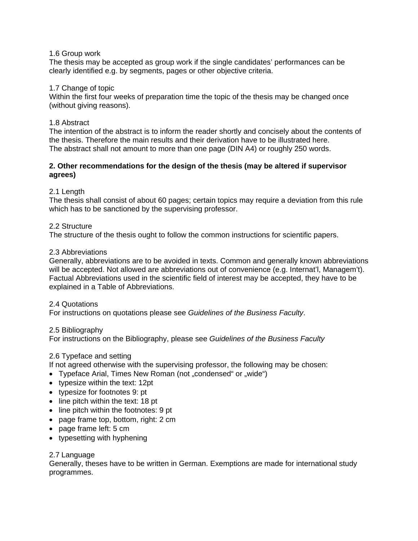#### 1.6 Group work

The thesis may be accepted as group work if the single candidates' performances can be clearly identified e.g. by segments, pages or other objective criteria.

#### 1.7 Change of topic

Within the first four weeks of preparation time the topic of the thesis may be changed once (without giving reasons).

### 1.8 Abstract

The intention of the abstract is to inform the reader shortly and concisely about the contents of the thesis. Therefore the main results and their derivation have to be illustrated here. The abstract shall not amount to more than one page (DIN A4) or roughly 250 words.

### **2. Other recommendations for the design of the thesis (may be altered if supervisor agrees)**

# 2.1 Length

The thesis shall consist of about 60 pages; certain topics may require a deviation from this rule which has to be sanctioned by the supervising professor.

### 2.2 Structure

The structure of the thesis ought to follow the common instructions for scientific papers.

#### 2.3 Abbreviations

Generally, abbreviations are to be avoided in texts. Common and generally known abbreviations will be accepted. Not allowed are abbreviations out of convenience (e.g. Internat'l, Managem't). Factual Abbreviations used in the scientific field of interest may be accepted, they have to be explained in a Table of Abbreviations.

#### 2.4 Quotations

For instructions on quotations please see *Guidelines of the Business Faculty*.

#### 2.5 Bibliography

For instructions on the Bibliography, please see *Guidelines of the Business Faculty*

# 2.6 Typeface and setting

If not agreed otherwise with the supervising professor, the following may be chosen:

- Typeface Arial, Times New Roman (not "condensed" or "wide")
- typesize within the text: 12pt
- typesize for footnotes 9: pt
- line pitch within the text: 18 pt
- line pitch within the footnotes: 9 pt
- page frame top, bottom, right: 2 cm
- page frame left: 5 cm
- typesetting with hyphening

# 2.7 Language

Generally, theses have to be written in German. Exemptions are made for international study programmes.